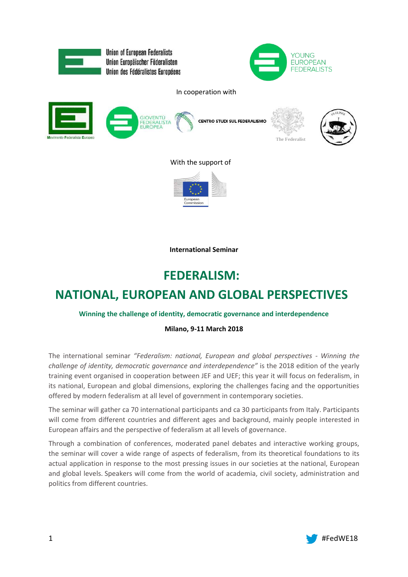

**International Seminar**

# **FEDERALISM:**

# **NATIONAL, EUROPEAN AND GLOBAL PERSPECTIVES**

# **Winning the challenge of identity, democratic governance and interdependence**

# **Milano, 9-11 March 2018**

The international seminar *"Federalism: national, European and global perspectives - Winning the challenge of identity, democratic governance and interdependence"* is the 2018 edition of the yearly training event organised in cooperation between JEF and UEF; this year it will focus on federalism, in its national, European and global dimensions, exploring the challenges facing and the opportunities offered by modern federalism at all level of government in contemporary societies.

The seminar will gather ca 70 international participants and ca 30 participants from Italy. Participants will come from different countries and different ages and background, mainly people interested in European affairs and the perspective of federalism at all levels of governance.

Through a combination of conferences, moderated panel debates and interactive working groups, the seminar will cover a wide range of aspects of federalism, from its theoretical foundations to its actual application in response to the most pressing issues in our societies at the national, European and global levels. Speakers will come from the world of academia, civil society, administration and politics from different countries.

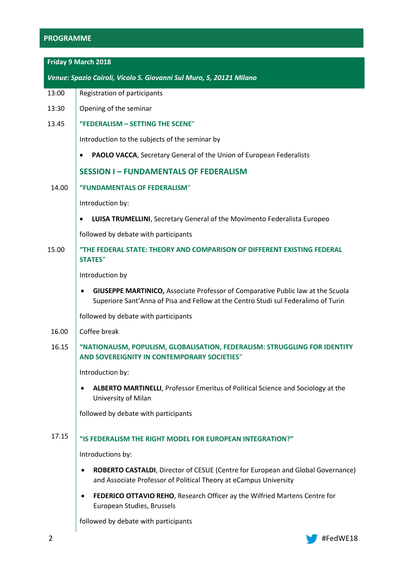# **PROGRAMME**

**Friday 9 March 2018**

*Venue: Spazio Cairoli, Vicolo S. Giovanni Sul Muro, 5, 20121 Milano* 13:00 13:30 13.45 Registration of participants Opening of the seminar **"FEDERALISM – SETTING THE SCENE**" Introduction to the subjects of the seminar by **PAOLO VACCA**, Secretary General of the Union of European Federalists **SESSION I – FUNDAMENTALS OF FEDERALISM** 14.00 **"FUNDAMENTALS OF FEDERALISM**" Introduction by: **LUISA TRUMELLINI**, Secretary General of the Movimento Federalista Europeo followed by debate with participants 15.00 **"THE FEDERAL STATE: THEORY AND COMPARISON OF DIFFERENT EXISTING FEDERAL STATES**" Introduction by **GIUSEPPE MARTINICO,** Associate Professor of Comparative Public law at the Scuola Superiore Sant'Anna of Pisa and Fellow at the Centro Studi sul Federalimo of Turin followed by debate with participants 16.00 16.15 17.15 Coffee break **"NATIONALISM, POPULISM, GLOBALISATION, FEDERALISM: STRUGGLING FOR IDENTITY AND SOVEREIGNITY IN CONTEMPORARY SOCIETIES**" Introduction by: **ALBERTO MARTINELLI**, Professor Emeritus of Political Science and Sociology at the University of Milan followed by debate with participants **"IS FEDERALISM THE RIGHT MODEL FOR EUROPEAN INTEGRATION?"** Introductions by: **ROBERTO CASTALDI**, Director of CESUE (Centre for European and Global Governance) and Associate Professor of Political Theory at eCampus University **FEDERICO OTTAVIO REHO**, Research Officer ay the Wilfried Martens Centre for European Studies, Brussels followed by debate with participants

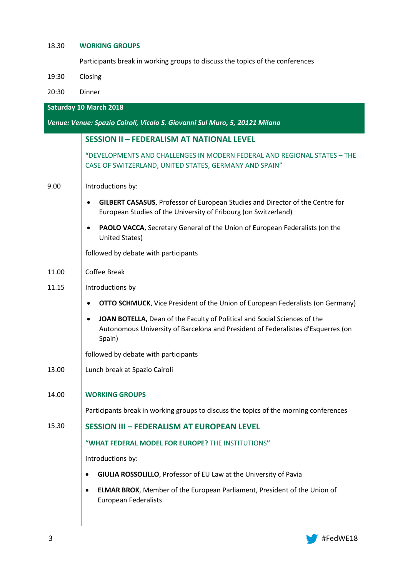| 18.30 | <b>WORKING GROUPS</b>                                                                                                                                                   |  |  |  |
|-------|-------------------------------------------------------------------------------------------------------------------------------------------------------------------------|--|--|--|
|       | Participants break in working groups to discuss the topics of the conferences                                                                                           |  |  |  |
| 19:30 | Closing                                                                                                                                                                 |  |  |  |
| 20:30 | Dinner                                                                                                                                                                  |  |  |  |
|       | <b>Saturday 10 March 2018</b>                                                                                                                                           |  |  |  |
|       | Venue: Venue: Spazio Cairoli, Vicolo S. Giovanni Sul Muro, 5, 20121 Milano                                                                                              |  |  |  |
|       | <b>SESSION II - FEDERALISM AT NATIONAL LEVEL</b>                                                                                                                        |  |  |  |
|       | "DEVELOPMENTS AND CHALLENGES IN MODERN FEDERAL AND REGIONAL STATES - THE<br>CASE OF SWITZERLAND, UNITED STATES, GERMANY AND SPAIN"                                      |  |  |  |
| 9.00  | Introductions by:                                                                                                                                                       |  |  |  |
|       | <b>GILBERT CASASUS</b> , Professor of European Studies and Director of the Centre for<br>European Studies of the University of Fribourg (on Switzerland)                |  |  |  |
|       | PAOLO VACCA, Secretary General of the Union of European Federalists (on the<br>United States)                                                                           |  |  |  |
|       | followed by debate with participants                                                                                                                                    |  |  |  |
| 11.00 | <b>Coffee Break</b>                                                                                                                                                     |  |  |  |
| 11.15 | Introductions by                                                                                                                                                        |  |  |  |
|       | <b>OTTO SCHMUCK, Vice President of the Union of European Federalists (on Germany)</b>                                                                                   |  |  |  |
|       | JOAN BOTELLA, Dean of the Faculty of Political and Social Sciences of the<br>Autonomous University of Barcelona and President of Federalistes d'Esquerres (on<br>Spain) |  |  |  |
|       | followed by debate with participants                                                                                                                                    |  |  |  |
| 13.00 | Lunch break at Spazio Cairoli                                                                                                                                           |  |  |  |
| 14.00 | <b>WORKING GROUPS</b>                                                                                                                                                   |  |  |  |
|       | Participants break in working groups to discuss the topics of the morning conferences                                                                                   |  |  |  |
| 15.30 | <b>SESSION III - FEDERALISM AT EUROPEAN LEVEL</b>                                                                                                                       |  |  |  |
|       | "WHAT FEDERAL MODEL FOR EUROPE? THE INSTITUTIONS"                                                                                                                       |  |  |  |
|       | Introductions by:                                                                                                                                                       |  |  |  |
|       | GIULIA ROSSOLILLO, Professor of EU Law at the University of Pavia<br>$\bullet$                                                                                          |  |  |  |
|       | <b>ELMAR BROK, Member of the European Parliament, President of the Union of</b><br>$\bullet$<br><b>European Federalists</b>                                             |  |  |  |
|       |                                                                                                                                                                         |  |  |  |

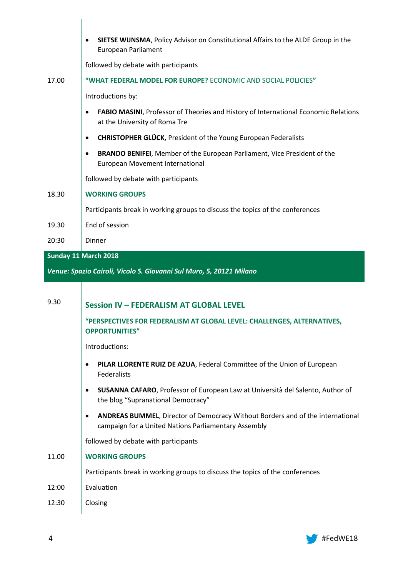|       | <b>SIETSE WIJNSMA, Policy Advisor on Constitutional Affairs to the ALDE Group in the</b><br>٠<br>European Parliament                        |  |  |  |
|-------|---------------------------------------------------------------------------------------------------------------------------------------------|--|--|--|
|       | followed by debate with participants                                                                                                        |  |  |  |
| 17.00 | "WHAT FEDERAL MODEL FOR EUROPE? ECONOMIC AND SOCIAL POLICIES"                                                                               |  |  |  |
|       | Introductions by:                                                                                                                           |  |  |  |
|       | FABIO MASINI, Professor of Theories and History of International Economic Relations<br>$\bullet$<br>at the University of Roma Tre           |  |  |  |
|       | <b>CHRISTOPHER GLÜCK, President of the Young European Federalists</b><br>$\bullet$                                                          |  |  |  |
|       | BRANDO BENIFEI, Member of the European Parliament, Vice President of the<br>٠<br>European Movement International                            |  |  |  |
|       | followed by debate with participants                                                                                                        |  |  |  |
| 18.30 | <b>WORKING GROUPS</b>                                                                                                                       |  |  |  |
|       | Participants break in working groups to discuss the topics of the conferences                                                               |  |  |  |
| 19.30 | End of session                                                                                                                              |  |  |  |
| 20:30 | Dinner                                                                                                                                      |  |  |  |
|       | Sunday 11 March 2018                                                                                                                        |  |  |  |
|       |                                                                                                                                             |  |  |  |
|       | Venue: Spazio Cairoli, Vicolo S. Giovanni Sul Muro, 5, 20121 Milano                                                                         |  |  |  |
|       |                                                                                                                                             |  |  |  |
| 9.30  | <b>Session IV - FEDERALISM AT GLOBAL LEVEL</b>                                                                                              |  |  |  |
|       | "PERSPECTIVES FOR FEDERALISM AT GLOBAL LEVEL: CHALLENGES, ALTERNATIVES,<br><b>OPPORTUNITIES"</b>                                            |  |  |  |
|       | Introductions:                                                                                                                              |  |  |  |
|       | PILAR LLORENTE RUIZ DE AZUA, Federal Committee of the Union of European<br>$\bullet$<br>Federalists                                         |  |  |  |
|       | SUSANNA CAFARO, Professor of European Law at Università del Salento, Author of<br>٠<br>the blog "Supranational Democracy"                   |  |  |  |
|       | ANDREAS BUMMEL, Director of Democracy Without Borders and of the international<br>٠<br>campaign for a United Nations Parliamentary Assembly |  |  |  |
|       | followed by debate with participants                                                                                                        |  |  |  |
| 11.00 | <b>WORKING GROUPS</b>                                                                                                                       |  |  |  |
|       | Participants break in working groups to discuss the topics of the conferences                                                               |  |  |  |
| 12:00 | Evaluation                                                                                                                                  |  |  |  |

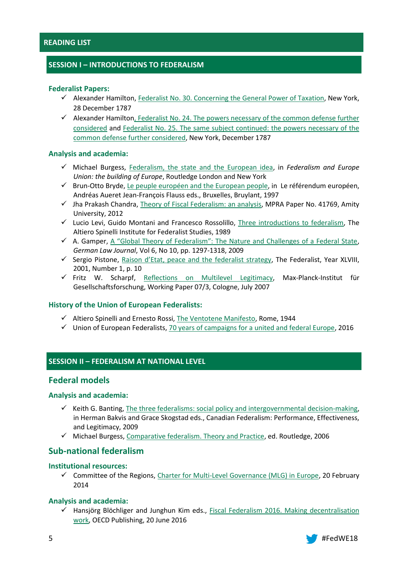# **SESSION I – INTRODUCTIONS TO FEDERALISM**

#### **Federalist Papers:**

- $\checkmark$  Alexander Hamilton, [Federalist No. 30. Concerning the General Power of Taxation,](https://www.congress.gov/resources/display/content/The+Federalist+Papers#TheFederalistPapers-30) New York, 28 December 1787
- $\checkmark$  Alexander Hamilton, Federalist No. 24. The powers necessary of the common defense further [considered](https://www.congress.gov/resources/display/content/The+Federalist+Papers#TheFederalistPapers-24) and [Federalist No. 25. The same subject continued: the powers necessary of the](https://www.congress.gov/resources/display/content/The+Federalist+Papers#TheFederalistPapers-25)  [common defense further considered,](https://www.congress.gov/resources/display/content/The+Federalist+Papers#TheFederalistPapers-25) New York, December 1787

## **Analysis and academia:**

- Michael Burgess, [Federalism, the state and the European idea,](http://www.federalists.eu/fileadmin/files_uef/Pictures/Website_Animation/Library/Burgess_Federalism__the_state_and_the_European_idea.pdf) in *Federalism and Europe Union: the building of Europe*, Routledge London and New York
- $\checkmark$  Brun-Otto Bryde, [Le peuple européen and the European people,](http://www.federalists.eu/fileadmin/files_uef/Pictures/Website_Animation/Library/Bryde__Le_peuple_europ%C3%A9en_and_the_European_people.pdf) in Le référendum européen, Andréas Aueret Jean-François Flauss eds., Bruxelles, Bruylant, 1997
- $\checkmark$  Jha Prakash Chandra, [Theory of Fiscal Federalism: an analysis,](https://mpra.ub.uni-muenchen.de/41769/1/MPRA_paper_41769.pdf) MPRA Paper No. 41769, Amity University, 2012
- $\checkmark$  Lucio Levi, Guido Montani and Francesco Rossolillo, [Three introductions to federalism,](http://www.istitutospinelli.org/en/download/english-en2-three-introductions-to-federalism/) The Altiero Spinelli Institute for Federalist Studies, 1989
- $\checkmark$  A. Gamper, [A "Global Theory of Federalism": The Nature and Challenges of a Federal State](https://static1.squarespace.com/static/56330ad3e4b0733dcc0c8495/t/57634f3e893fc07fb7eebfcd/1466126143493/GLJ_Vol_6_No_10_Gamper.pdf), *German Law Journal*, Vol 6, No 10, pp. 1297-1318, 2009
- $\checkmark$  Sergio Pistone, [Raison d'Etat, peace and the federalist strategy](http://www.thefederalist.eu/site/index.php?option=com_content&view=article&id=570&lang=en), The Federalist, Year XLVIII, 2001, Number 1, p. 10
- $\checkmark$  Fritz W. Scharpf, [Reflections on Multilevel Legitimacy,](http://www.mpifg.de/pu/workpap/wp07-3.pdf) Max-Planck-Institut für Gesellschaftsforschung, Working Paper 07/3, Cologne, July 2007

# **History of the Union of European Federalists:**

- $\checkmark$  Altiero Spinelli and Ernesto Rossi, [The Ventotene Manifesto,](http://www.federalists.eu/uef/library/books/the-ventotene-manifesto/) Rome, 1944
- $\checkmark$  Union of European Federalists[, 70 years of campaigns for a united and federal Europe,](http://www.federalists.eu/fileadmin/files_uef/Pictures/Website_Animation/About_UEF/70th_Anniversary/UEF_Booklet_70_Years_of_Campaigns_for_a_United_and_Federal_Europe.pdf) 2016

# **SESSION II – FEDERALISM AT NATIONAL LEVEL**

# **Federal models**

# **Analysis and academia:**

- $\checkmark$  Keith G. Banting, [The three federalisms: social policy and intergovernmental decision-making,](http://citeseerx.ist.psu.edu/viewdoc/download?doi=10.1.1.571.3224&rep=rep1&type=pdf) in Herman Bakvis and Grace Skogstad eds., Canadian Federalism: Performance, Effectiveness, and Legitimacy, 2009
- $\checkmark$  Michael Burgess[, Comparative federalism. Theory and Practice,](http://www.untag-smd.ac.id/files/Perpustakaan_Digital_1/FEDERALISM%20Comparative%20Federalism,%20Theory%20and%20practice.pdf) ed. Routledge, 2006

# **Sub-national federalism**

# **Institutional resources:**

 Committee of the Regions[, Charter for Multi-Level Governance \(MLG\) in Europe,](https://portal.cor.europa.eu/mlgcharter/Pages/MLG-charter.aspx) 20 February 2014

# **Analysis and academia:**

 $\checkmark$  Hansjörg Blöchliger and Junghun Kim eds., Fiscal Federalism 2016. Making decentralisation [work,](http://www.keepeek.com/Digital-Asset-Management/oecd/governance/fiscal-federalism-2016_9789264254053-en) OECD Publishing, 20 June 2016

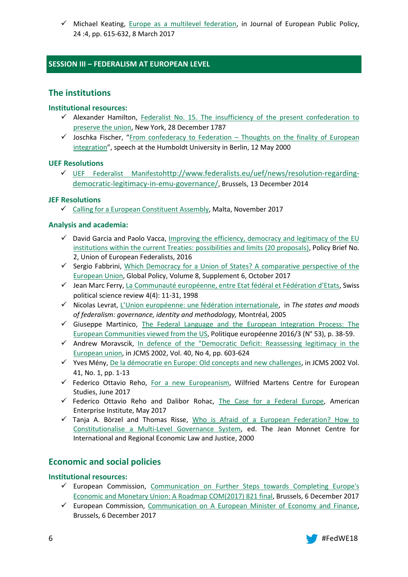$\checkmark$  Michael Keating, [Europe as a multilevel federation,](http://www.tandfonline.com/doi/pdf/10.1080/13501763.2016.1273374?needAccess=true) in Journal of European Public Policy, 24 :4, pp. 615-632, 8 March 2017

# **SESSION III – FEDERALISM AT EUROPEAN LEVEL**

# **The institutions**

# **Institutional resources:**

- $\checkmark$  Alexander Hamilton, Federalist No. 15. The insufficiency of the present confederation to [preserve the union,](https://www.congress.gov/resources/display/content/The+Federalist+Papers#TheFederalistPapers-15) New York, 28 December 1787
- $\checkmark$  Joschka Fischer, "From confederacy to Federation Thoughts on the finality of European [integration](http://ec.europa.eu/dorie/fileDownload.do?docId=192161&cardId=192161)", speech at the Humboldt University in Berlin, 12 May 2000

# **UEF Resolutions**

 [UEF Federalist Manifesto](http://www.federalists.eu/uef/news/update-of-the-federalist-manifesto/)[http://www.federalists.eu/uef/news/resolution-regarding](http://www.federalists.eu/uef/news/update-of-the-federalist-manifesto/)[democratic-legitimacy-in-emu-governance/](http://www.federalists.eu/uef/news/resolution-regarding-democratic-legitimacy-in-emu-governance/), Brussels, 13 December 2014

# **JEF Resolutions**

 $\checkmark$  [Calling for a European Constituent Assembly,](https://www.jef.eu/news/single-news-resolutions/news/calling-for-a-european-constituent-assembly/) Malta, November 2017

# **Analysis and academia:**

- $\checkmark$  David Garcia and Paolo Vacca, Improving the efficiency, democracy and legitimacy of the EU [institutions within the current Treaties: possibilities and limits \(20 proposals\),](http://www.federalists.eu/fileadmin/files_uef/POLICY/Policy_Briefs/2016/Policy_Brief_Improving_efficiency_democracy_and_legitimacy_of_the_EU_institutions_within_the_current_Treaties_20_proposals.pdf) Policy Brief No. 2, Union of European Federalists, 2016
- $\checkmark$  Sergio Fabbrini, Which Democracy for a Union of States? A comparative perspective of the [European Union,](http://onlinelibrary.wiley.com/doi/10.1111/1758-5899.12486/pdf) Global Policy, Volume 8, Supplement 6, October 2017
- Jean Marc Ferry, [La Communauté européenne, entre Etat fédéral et Fédération d'Etats](http://www.federalists.eu/fileadmin/files_uef/Pictures/Website_Animation/Library/Ferry__La_Communaut%C3%A9_europ%C3%A9enne__entre_Etat_f%C3%A9d%C3%A9ral_et_F%C3%A9d%C3%A9ration_d%E2%80%99Etats.pdf), Swiss political science review 4(4): 11-31, 1998
- Nicolas Levrat, [L'Union européenne: une fédération internationale](http://www.federalists.eu/fileadmin/files_uef/Pictures/Website_Animation/Library/Levrat__L%E2%80%99Union_europ%C3%A9enne_une_f%C3%A9d%C3%A9ration_internationale.pdf), in *The states and moods of federalism: governance, identity and methodology,* Montréal, 2005
- $\checkmark$  Giuseppe Martinico, The Federal Language and the European Integration Process: The [European Communities viewed from the US,](http://www.federalists.eu/fileadmin/files_uef/Pictures/Website_Animation/Library/Martinico_The_Federal_language_and_the_European_integration_process.pdf) Politique européenne 2016/3 (N° 53), p. 38-59.
- $\checkmark$  Andrew Moravscik, In defence of the "Democratic Deficit: Reassessing legitimacy in the [European union,](https://www.princeton.edu/~amoravcs/library/deficit.pdf) in JCMS 2002, Vol. 40, No 4, pp. 603-624
- Yves Mény[, De la démocratie en Europe: Old concepts and new challenges,](http://www.federalists.eu/fileadmin/files_uef/Pictures/Website_Animation/Library/M%C3%A9ny__De_la_d%C3%A9mocratie_en_Europe_Old_concepts_and_new_challenges.pdf) in JCMS 2002 Vol. 41, No. 1, pp. 1-13
- $\checkmark$  Federico Ottavio Reho, [For a new Europeanism,](https://www.martenscentre.eu/sites/default/files/publication-files/future-europe-new-europeanism.pdf) Wilfried Martens Centre for European Studies, June 2017
- $\checkmark$  Federico Ottavio Reho and Dalibor Rohac, [The Case for a Federal Europe,](https://www.martenscentre.eu/sites/default/files/publication-files/case-for-a-federal-europe.pdf) American Enterprise Institute, May 2017
- $\checkmark$  Tanja A. Börzel and Thomas Risse, Who is Afraid of a European Federation? How to [Constitutionalise a Multi-Level Governance System,](http://www.jeanmonnetprogram.org/archive/papers/00/00f0101.html) ed. The Jean Monnet Centre for International and Regional Economic Law and Justice, 2000

# **Economic and social policies**

# **Institutional resources:**

- $\checkmark$  European Commission, Communication on Further Steps towards Completing Europe's [Economic and Monetary Union: A Roadmap COM\(2017\) 821 final,](https://ec.europa.eu/info/sites/info/files/economy-finance/com_2017_821.pdf) Brussels, 6 December 2017
- $\checkmark$  European Commission, [Communication on A European Minister of Economy and Finance,](https://ec.europa.eu/info/sites/info/files/economy-finance/com_823_0.pdf) Brussels, 6 December 2017

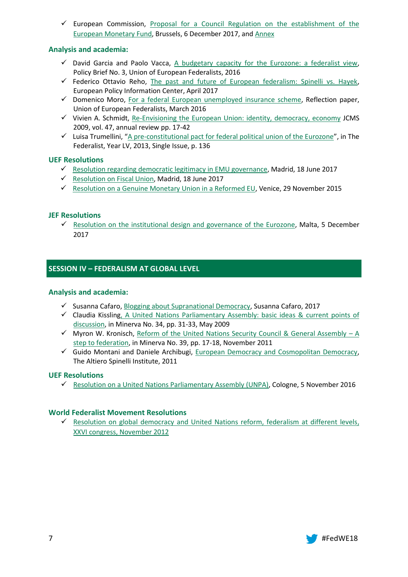European Commission, Proposal for a Council Regulation on the establishment of the [European Monetary Fund,](https://ec.europa.eu/info/sites/info/files/economy-finance/com_827.pdf) Brussels, 6 December 2017, and [Annex](https://ec.europa.eu/info/sites/info/files/economy-finance/com_2017_827_annex.pdf)

# **Analysis and academia:**

- $\checkmark$  David Garcia and Paolo Vacca, [A budgetary capacity for the Eurozone: a federalist view,](http://www.federalists.eu/fileadmin/files_uef/POLICY/Policy_Briefs/2016/Policy_Brief_A_budgetary_capacity_for_the_Eurozone_Garcia_Vacca.pdf) Policy Brief No. 3, Union of European Federalists, 2016
- $\checkmark$  Federico Ottavio Reho, [The past and future of European federalism: Spinelli vs. Hayek,](https://www.martenscentre.eu/sites/default/files/publication-files/european-federalism-spinelli-hayek.pdf) European Policy Information Center, April 2017
- $\checkmark$  Domenico Moro, [For a federal European unemployed insurance scheme,](http://www.federalists.eu/fileadmin/files_uef/Publications/Reflection_Paper/Moro_European_Unemployment_Insurance_scheme.pdf) Reflection paper, Union of European Federalists, March 2016
- $\checkmark$  Vivien A. Schmidt, [Re-Envisioning the European Union: identity, democracy, economy](http://citeseerx.ist.psu.edu/viewdoc/download?doi=10.1.1.470.9380&rep=rep1&type=pdf) JCMS 2009, vol. 47, annual review pp. 17-42
- $\checkmark$  Luisa Trumellini, "[A pre-constitutional pact for federal political union of the Eurozone](http://www.thefederalist.eu/site/index.php?option=com_content&view=article&id=1410%3Aun-patto-pre-costituzionale-per-lunione-politica-federale-delleurozona&catid=5%3Adiscussioni&lang=en&Itemid=85)", in The Federalist, Year LV, 2013, Single Issue, p. 136

# **UEF Resolutions**

- $\checkmark$  [Resolution regarding democratic legitimacy in EMU governance,](http://www.federalists.eu/uef/news/resolution-regarding-democratic-legitimacy-in-emu-governance/) Madrid, 18 June 2017
- $\checkmark$  [Resolution on Fiscal Union,](http://www.federalists.eu/uef/news/resolution-on-fiscal-union/) Madrid, 18 June 2017
- $\checkmark$  [Resolution on a Genuine Monetary Union in a Reformed EU,](http://www.federalists.eu/uef/news/resolution-of-the-uef-federal-committee-on-a-genuine-monetary-union-in-a-reforme/) Venice, 29 November 2015

# **JEF Resolutions**

 $\checkmark$  [Resolution on the institutional design and governance of the Eurozone,](https://www.jef.eu/news/single-news-resolutions/news/on-the-institutional-design-and-governance-of-the-eurozone/) Malta, 5 December 2017

# **SESSION IV – FEDERALISM AT GLOBAL LEVEL**

# **Analysis and academia:**

- $\checkmark$  Susanna Cafaro[, Blogging about Supranational Democracy,](https://www.dropbox.com/s/z5arnqw3awawhj7/Cafaro%2C%20Susanna-%20Blogging%20About%20Supranational%20Democracy.pdf?dl=0) Susanna Cafaro, 2017
- Claudia Kisslin[g, A United Nations Parliamentary Assembly: basic ideas & current points of](https://globalsolutions.org/files/public/documents/WFI-Minerva-Vol34.pdf)  [discussion,](https://globalsolutions.org/files/public/documents/WFI-Minerva-Vol34.pdf) in Minerva No. 34, pp. 31-33, May 2009
- $\checkmark$  Myron W. Kronisch, [Reform of the United Nations Security Council & General Assembly](https://globalsolutions.org/files/public/documents/WFI-Minerva-Vol39_0.pdf)  A [step to federation,](https://globalsolutions.org/files/public/documents/WFI-Minerva-Vol39_0.pdf) in Minerva No. 39, pp. 17-18, November 2011
- $\checkmark$  Guido Montani and Daniele Archibugi, [European Democracy and Cosmopolitan Democracy,](http://www.istitutospinelli.org/en/download/english-european-democracy-and-cosmopolitan-democracy/) The Altiero Spinelli Institute, 2011

# **UEF Resolutions**

[Resolution on a United Nations Parliamentary Assembly \(UNPA\),](http://www.federalists.eu/uef/news/resolution-on-a-united-nations-parliamentary-assembly-unpa/) Cologne, 5 November 2016

# **World Federalist Movement Resolutions**

 $\checkmark$  [Resolution on global democracy and United Nations reform, federalism at different levels,](http://www.wfm-igp.org/sites/default/files/documents/commission_3_xxvi_congress_0.pdf) XXVI congress, November 2012

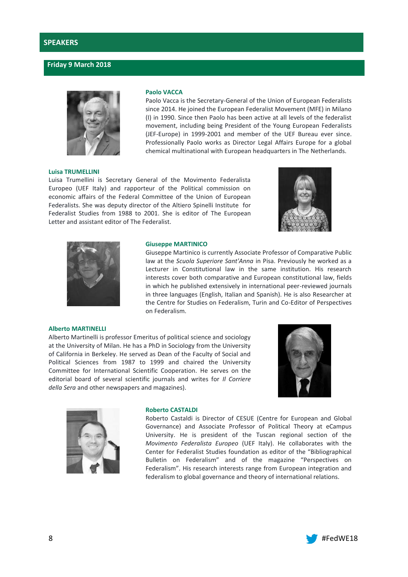## **Friday 9 March 2018**



#### **Luisa TRUMELLINI**

#### **Paolo VACCA**

Paolo Vacca is the Secretary-General of the Union of European Federalists since 2014. He joined the European Federalist Movement (MFE) in Milano (I) in 1990. Since then Paolo has been active at all levels of the federalist movement, including being President of the Young European Federalists (JEF-Europe) in 1999-2001 and member of the UEF Bureau ever since. Professionally Paolo works as Director Legal Affairs Europe for a global chemical multinational with European headquarters in The Netherlands.

Luisa Trumellini is Secretary General of the Movimento Federalista Europeo (UEF Italy) and rapporteur of the Political commission on economic affairs of the Federal Committee of the Union of European Federalists. She was deputy director of the Altiero Spinelli Institute for Federalist Studies from 1988 to 2001. She is editor of The European Letter and assistant editor of The Federalist.





#### **Giuseppe MARTINICO**

Giuseppe Martinico is currently Associate Professor of Comparative Public law at the *Scuola Superiore Sant'Anna* in Pisa. Previously he worked as a Lecturer in Constitutional law in the same institution. His research interests cover both comparative and European constitutional law, fields in which he published extensively in international peer-reviewed journals in three languages (English, Italian and Spanish). He is also Researcher at the Centre for Studies on Federalism, Turin and Co-Editor of Perspectives on Federalism.

#### **Alberto MARTINELLI**

Alberto Martinelli is professor Emeritus of political science and sociology at the University of Milan. He has a PhD in Sociology from the University of California in Berkeley. He served as Dean of the Faculty of Social and Political Sciences from 1987 to 1999 and chaired the University Committee for International Scientific Cooperation. He serves on the editorial board of several scientific journals and writes for *Il Corriere della Sera* and other newspapers and magazines).





#### **Roberto CASTALDI**

Roberto Castaldi is Director of CESUE (Centre for European and Global Governance) and Associate Professor of Political Theory at eCampus University. He is president of the Tuscan regional section of the *Movimento Federalista Europeo* (UEF Italy). He collaborates with the Center for Federalist Studies foundation as editor of the "Bibliographical Bulletin on Federalism" and of the magazine "Perspectives on Federalism". His research interests range from European integration and federalism to global governance and theory of international relations.

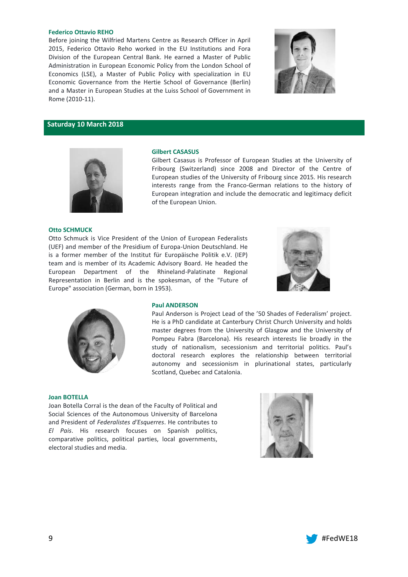#### **Federico Ottavio REHO**

Before joining the Wilfried Martens Centre as Research Officer in April 2015, Federico Ottavio Reho worked in the EU Institutions and Fora Division of the European Central Bank. He earned a Master of Public Administration in European Economic Policy from the London School of Economics (LSE), a Master of Public Policy with specialization in EU Economic Governance from the Hertie School of Governance (Berlin) and a Master in European Studies at the Luiss School of Government in Rome (2010-11).



#### **Saturday 10 March 2018**



#### **Gilbert CASASUS**

Gilbert Casasus is Professor of European Studies at the University of Fribourg (Switzerland) since 2008 and Director of the Centre of European studies of the University of Fribourg since 2015. His research interests range from the Franco-German relations to the history of European integration and include the democratic and legitimacy deficit of the European Union.

#### **Otto SCHMUCK**

Otto Schmuck is Vice President of the Union of European Federalists (UEF) and member of the Presidium of Europa-Union Deutschland. He is a former member of the Institut für Europäische Politik e.V. (IEP) team and is member of its Academic Advisory Board. He headed the European Department of the Rhineland-Palatinate Regional Representation in Berlin and is the spokesman, of the "Future of Europe" association (German, born in 1953).





#### **Paul ANDERSON**

Paul Anderson is Project Lead of the '50 Shades of Federalism' project. He is a PhD candidate at Canterbury Christ Church University and holds master degrees from the University of Glasgow and the University of Pompeu Fabra (Barcelona). His research interests lie broadly in the study of nationalism, secessionism and territorial politics. Paul's doctoral research explores the relationship between territorial autonomy and secessionism in plurinational states, particularly Scotland, Quebec and Catalonia.

#### **Joan BOTELLA**

Joan Botella Corral is the dean of the Faculty of Political and Social Sciences of the Autonomous University of Barcelona and President of *Federalistes d'Esquerres*. He contributes to *El Pais*. His research focuses on Spanish politics, comparative politics, political parties, local governments, electoral studies and media.



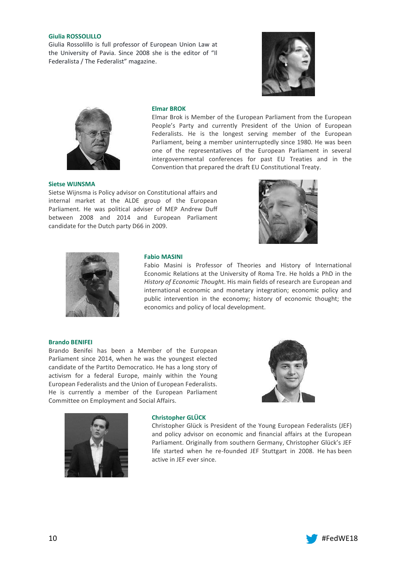#### **Giulia ROSSOLILLO**

Giulia Rossolillo is full professor of European Union Law at the University of Pavia. Since 2008 she is the editor of "Il Federalista / The Federalist" magazine.





#### **Elmar BROK**

Elmar Brok is Member of the European Parliament from the European People's Party and currently President of the Union of European Federalists. He is the longest serving member of the European Parliament, being a member uninterruptedly since 1980. He was been one of the representatives of the European Parliament in several intergovernmental conferences for past EU Treaties and in the Convention that prepared the draft EU Constitutional Treaty.

#### **Sietse WIJNSMA**

Sietse Wijnsma is Policy advisor on Constitutional affairs and internal market at the ALDE group of the European Parliament. He was political adviser of MEP Andrew Duff between 2008 and 2014 and European Parliament candidate for the Dutch party D66 in 2009.





#### **Fabio MASINI**

Fabio Masini is Professor of Theories and History of International Economic Relations at the University of Roma Tre. He holds a PhD in the *History of Economic Though*t. His main fields of research are European and international economic and monetary integration; economic policy and public intervention in the economy; history of economic thought; the economics and policy of local development.

#### **Brando BENIFEI**

Brando Benifei has been a Member of the European Parliament since 2014, when he was the youngest elected candidate of the Partito Democratico. He has a long story of activism for a federal Europe, mainly within the Young European Federalists and the Union of European Federalists. He is currently a member of the European Parliament Committee on Employment and Social Affairs.





#### **Christopher GLÜCK**

Christopher Glück is President of the Young European Federalists (JEF) and policy advisor on economic and financial affairs at the European Parliament. Originally from southern Germany, Christopher Glück's JEF life started when he re-founded JEF Stuttgart in 2008. He has been active in JEF ever since.

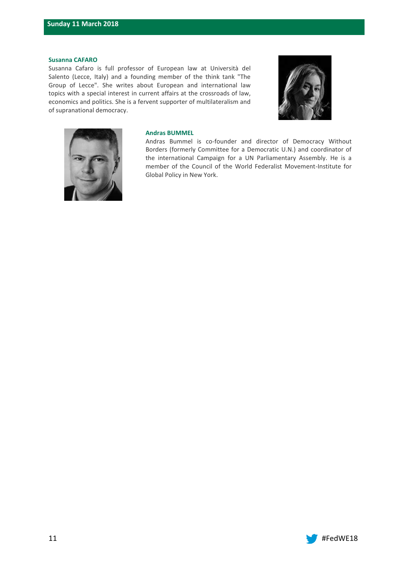#### **Susanna CAFARO**

Susanna Cafaro is full professor of European law at Università del Salento (Lecce, Italy) and a founding member of the think tank "The Group of Lecce". She writes about European and international law topics with a special interest in current affairs at the crossroads of law, economics and politics. She is a fervent supporter of multilateralism and of supranational democracy.





#### **Andras BUMMEL**

Andras Bummel is co-founder and director of Democracy Without Borders (formerly Committee for a Democratic U.N.) and coordinator of the international Campaign for a UN Parliamentary Assembly. He is a member of the Council of the World Federalist Movement-Institute for Global Policy in New York.

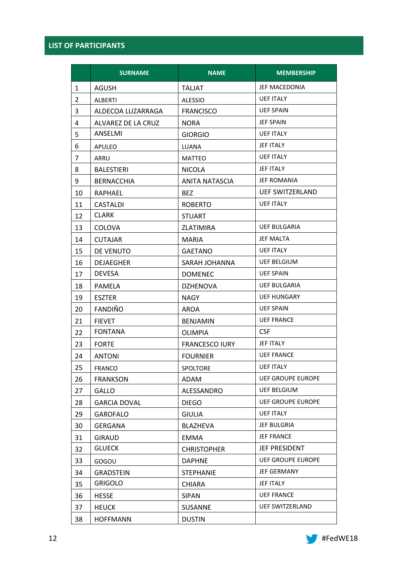# **LIST OF PARTICIPANTS**

|                | <b>SURNAME</b>      | <b>NAME</b>                        | <b>MEMBERSHIP</b>        |  |
|----------------|---------------------|------------------------------------|--------------------------|--|
| $\mathbf{1}$   | AGUSH               | <b>TALJAT</b>                      | JEF MACEDONIA            |  |
| $\overline{2}$ | ALBERTI             | <b>ALESSIO</b>                     | <b>UEF ITALY</b>         |  |
| 3              | ALDECOA LUZARRAGA   | <b>FRANCISCO</b>                   | <b>UEF SPAIN</b>         |  |
| 4              | ALVAREZ DE LA CRUZ  | <b>NORA</b>                        | <b>JEF SPAIN</b>         |  |
| 5              | ANSELMI             | <b>UEF ITALY</b><br><b>GIORGIO</b> |                          |  |
| 6              | APULEO              | LUANA                              | JEF ITALY                |  |
| 7              | ARRU                | <b>MATTEO</b>                      | <b>UEF ITALY</b>         |  |
| 8              | <b>BALESTIERI</b>   | <b>NICOLA</b>                      | JEF ITALY                |  |
| 9              | <b>BERNACCHIA</b>   | <b>ANITA NATASCIA</b>              | JEF ROMANIA              |  |
| 10             | RAPHAEL             | BEZ.                               | <b>UEF SWITZERLAND</b>   |  |
| 11             | CASTALDI            | <b>ROBERTO</b>                     | <b>UEF ITALY</b>         |  |
| 12             | <b>CLARK</b>        | <b>STUART</b>                      |                          |  |
| 13             | <b>COLOVA</b>       | ZLATIMIRA                          | <b>UEF BULGARIA</b>      |  |
| 14             | <b>CUTAJAR</b>      | MARIA                              | <b>JEF MALTA</b>         |  |
| 15             | DE VENUTO           | <b>GAETANO</b>                     | <b>UEF ITALY</b>         |  |
| 16             | <b>DEJAEGHER</b>    | SARAH JOHANNA                      | <b>UEF BELGIUM</b>       |  |
| 17             | <b>DEVESA</b>       | <b>DOMENEC</b>                     | <b>UEF SPAIN</b>         |  |
| 18             | <b>PAMELA</b>       | <b>DZHENOVA</b>                    | <b>UEF BULGARIA</b>      |  |
| 19             | <b>ESZTER</b>       | <b>NAGY</b>                        | <b>UEF HUNGARY</b>       |  |
| 20             | FANDIÑO             | AROA                               | <b>UEF SPAIN</b>         |  |
| 21             | <b>FIEVET</b>       | <b>BENJAMIN</b>                    | <b>UEF FRANCE</b>        |  |
| 22             | <b>FONTANA</b>      | <b>OLIMPIA</b>                     | <b>CSF</b>               |  |
| 23             | <b>FORTE</b>        | <b>FRANCESCO IURY</b>              | <b>JEF ITALY</b>         |  |
| 24             | ANTONI              | <b>FOURNIER</b>                    | <b>UEF FRANCE</b>        |  |
| 25             | <b>FRANCO</b>       | <b>SPOLTORE</b>                    | <b>UEF ITALY</b>         |  |
| 26             | <b>FRANKSON</b>     | ADAM                               | <b>UEF GROUPE EUROPE</b> |  |
| 27             | <b>GALLO</b>        | ALESSANDRO                         | <b>UEF BELGIUM</b>       |  |
| 28             | <b>GARCIA DOVAL</b> | <b>DIEGO</b>                       | <b>UEF GROUPE EUROPE</b> |  |
| 29             | <b>GAROFALO</b>     | <b>GIULIA</b>                      | <b>UEF ITALY</b>         |  |
| 30             | <b>GERGANA</b>      | <b>BLAZHEVA</b>                    | <b>JEF BULGRIA</b>       |  |
| 31             | <b>GIRAUD</b>       | <b>EMMA</b>                        | <b>JEF FRANCE</b>        |  |
| 32             | <b>GLUECK</b>       | <b>CHRISTOPHER</b>                 | <b>JEF PRESIDENT</b>     |  |
| 33             | GOGOU               | <b>DAPHNE</b>                      | <b>UEF GROUPE EUROPE</b> |  |
| 34             | <b>GRADSTEIN</b>    | <b>STEPHANIE</b>                   | <b>JEF GERMANY</b>       |  |
| 35             | <b>GRIGOLO</b>      | <b>CHIARA</b>                      | JEF ITALY                |  |
| 36             | <b>HESSE</b>        | <b>SIPAN</b>                       | <b>UEF FRANCE</b>        |  |
| 37             | <b>HEUCK</b>        | <b>SUSANNE</b>                     | <b>UEF SWITZERLAND</b>   |  |
| 38             | <b>HOFFMANN</b>     | <b>DUSTIN</b>                      |                          |  |

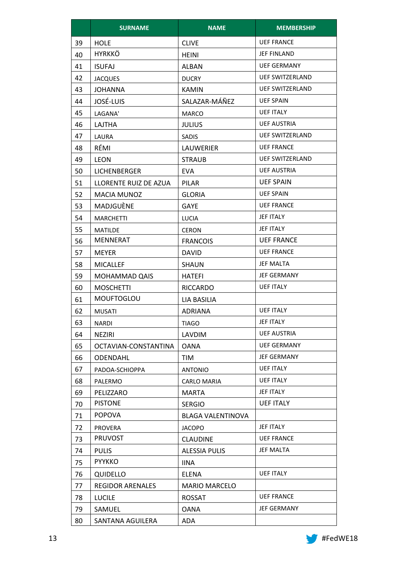|    | <b>SURNAME</b>          | <b>NAME</b>              | <b>MEMBERSHIP</b>      |  |  |  |
|----|-------------------------|--------------------------|------------------------|--|--|--|
| 39 | <b>HOLE</b>             | <b>CLIVE</b>             | <b>UEF FRANCE</b>      |  |  |  |
| 40 | <b>HYRKKÖ</b>           | HEINI                    | <b>JEF FINLAND</b>     |  |  |  |
| 41 | <b>ISUFAJ</b>           | ALBAN                    | <b>UEF GERMANY</b>     |  |  |  |
| 42 | <b>JACQUES</b>          | <b>DUCRY</b>             | <b>UEF SWITZERLAND</b> |  |  |  |
| 43 | <b>JOHANNA</b>          | <b>KAMIN</b>             | <b>UEF SWITZERLAND</b> |  |  |  |
| 44 | JOSÉ-LUIS               | SALAZAR-MÁÑEZ            | <b>UEF SPAIN</b>       |  |  |  |
| 45 | LAGANA'                 | <b>MARCO</b>             | <b>UEF ITALY</b>       |  |  |  |
| 46 | LAJTHA                  | <b>JULIUS</b>            | <b>UEF AUSTRIA</b>     |  |  |  |
| 47 | LAURA                   | <b>SADIS</b>             | <b>UEF SWITZERLAND</b> |  |  |  |
| 48 | RÉMI                    | <b>LAUWERIER</b>         | <b>UEF FRANCE</b>      |  |  |  |
| 49 | <b>LEON</b>             | <b>STRAUB</b>            | <b>UEF SWITZERLAND</b> |  |  |  |
| 50 | <b>LICHENBERGER</b>     | EVA.                     | <b>UEF AUSTRIA</b>     |  |  |  |
| 51 | LLORENTE RUIZ DE AZUA   | PILAR                    | <b>UEF SPAIN</b>       |  |  |  |
| 52 | <b>MACIA MUNOZ</b>      | <b>GLORIA</b>            | <b>UEF SPAIN</b>       |  |  |  |
| 53 | MADJGUÈNE               | GAYE                     | <b>UEF FRANCE</b>      |  |  |  |
| 54 | <b>MARCHETTI</b>        | LUCIA                    | JEF ITALY              |  |  |  |
| 55 | <b>MATILDE</b>          | <b>CERON</b>             | <b>JEF ITALY</b>       |  |  |  |
| 56 | <b>MENNERAT</b>         | <b>FRANCOIS</b>          | <b>UEF FRANCE</b>      |  |  |  |
| 57 | <b>MEYER</b>            | <b>DAVID</b>             | <b>UEF FRANCE</b>      |  |  |  |
| 58 | <b>MICALLEF</b>         | SHAUN                    | <b>JEF MALTA</b>       |  |  |  |
| 59 | <b>MOHAMMAD QAIS</b>    | <b>HATEFI</b>            | <b>JEF GERMANY</b>     |  |  |  |
| 60 | <b>MOSCHETTI</b>        | <b>RICCARDO</b>          | <b>UEF ITALY</b>       |  |  |  |
| 61 | <b>MOUFTOGLOU</b>       | LIA BASILIA              |                        |  |  |  |
| 62 | <b>MUSATI</b>           | <b>ADRIANA</b>           | <b>UEF ITALY</b>       |  |  |  |
| 63 | NARDI                   | <b>TIAGO</b>             | JEF ITALY              |  |  |  |
| 64 | NEZIRI                  | LAVDIM                   | <b>UEF AUSTRIA</b>     |  |  |  |
| 65 | OCTAVIAN-CONSTANTINA    | <b>OANA</b>              | <b>UEF GERMANY</b>     |  |  |  |
| 66 | <b>ODENDAHL</b>         | TIM                      | <b>JEF GERMANY</b>     |  |  |  |
| 67 | PADOA-SCHIOPPA          | <b>ANTONIO</b>           | <b>UEF ITALY</b>       |  |  |  |
| 68 | PALERMO                 | <b>CARLO MARIA</b>       | <b>UEF ITALY</b>       |  |  |  |
| 69 | PELIZZARO               | <b>MARTA</b>             | JEF ITALY              |  |  |  |
| 70 | <b>PISTONE</b>          | <b>SERGIO</b>            | <b>UEF ITALY</b>       |  |  |  |
| 71 | <b>POPOVA</b>           | <b>BLAGA VALENTINOVA</b> |                        |  |  |  |
| 72 | <b>PROVERA</b>          | <b>JACOPO</b>            | JEF ITALY              |  |  |  |
| 73 | <b>PRUVOST</b>          | <b>CLAUDINE</b>          | <b>UEF FRANCE</b>      |  |  |  |
| 74 | <b>PULIS</b>            | <b>ALESSIA PULIS</b>     | JEF MALTA              |  |  |  |
| 75 | <b>PYYKKO</b>           | <b>IINA</b>              |                        |  |  |  |
| 76 | <b>QUIDELLO</b>         | ELENA                    | <b>UEF ITALY</b>       |  |  |  |
| 77 | <b>REGIDOR ARENALES</b> | <b>MARIO MARCELO</b>     |                        |  |  |  |
| 78 | <b>LUCILE</b>           | <b>ROSSAT</b>            | <b>UEF FRANCE</b>      |  |  |  |
| 79 | SAMUEL                  | OANA                     | <b>JEF GERMANY</b>     |  |  |  |
| 80 | SANTANA AGUILERA        | ADA                      |                        |  |  |  |

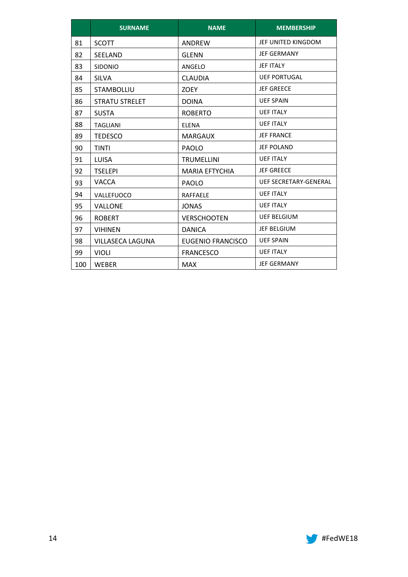|     | <b>SURNAME</b>          | <b>NAME</b>              | <b>MEMBERSHIP</b>            |  |
|-----|-------------------------|--------------------------|------------------------------|--|
| 81  | <b>SCOTT</b>            | <b>ANDRFW</b>            | JEF UNITED KINGDOM           |  |
| 82  | <b>SEELAND</b>          | <b>GLENN</b>             | <b>JEF GERMANY</b>           |  |
| 83  | <b>SIDONIO</b>          | ANGELO                   | <b>JEF ITALY</b>             |  |
| 84  | <b>SILVA</b>            | <b>CLAUDIA</b>           | <b>UEF PORTUGAL</b>          |  |
| 85  | <b>STAMBOLLIU</b>       | <b>ZOEY</b>              | <b>JEF GREECE</b>            |  |
| 86  | <b>STRATU STRELET</b>   | <b>DOINA</b>             | <b>UEF SPAIN</b>             |  |
| 87  | <b>SUSTA</b>            | <b>ROBERTO</b>           | <b>UEF ITALY</b>             |  |
| 88  | <b>TAGLIANI</b>         | ELENA                    | <b>UEF ITALY</b>             |  |
| 89  | <b>TEDESCO</b>          | MARGAUX                  | <b>JEF FRANCE</b>            |  |
| 90  | <b>TINTI</b>            | <b>PAOLO</b>             | <b>JEF POLAND</b>            |  |
| 91  | <b>LUISA</b>            | <b>TRUMELLINI</b>        | <b>UEF ITALY</b>             |  |
| 92  | <b>TSELEPI</b>          | <b>MARIA EFTYCHIA</b>    | <b>JEF GREECE</b>            |  |
| 93  | <b>VACCA</b>            | <b>PAOLO</b>             | <b>UEF SECRETARY-GENERAL</b> |  |
| 94  | VALLEFUOCO              | <b>RAFFAELE</b>          | <b>UEF ITALY</b>             |  |
| 95  | <b>VALLONE</b>          | <b>JONAS</b>             | <b>UEF ITALY</b>             |  |
| 96  | <b>ROBERT</b>           | <b>VERSCHOOTEN</b>       | <b>UEF BELGIUM</b>           |  |
| 97  | <b>VIHINEN</b>          | <b>DANICA</b>            | <b>JEF BELGIUM</b>           |  |
| 98  | <b>VILLASECA LAGUNA</b> | <b>EUGENIO FRANCISCO</b> | <b>UEF SPAIN</b>             |  |
| 99  | <b>VIOLI</b>            | <b>FRANCESCO</b>         | <b>UEF ITALY</b>             |  |
| 100 | <b>WEBER</b>            | <b>MAX</b>               | <b>JEF GERMANY</b>           |  |

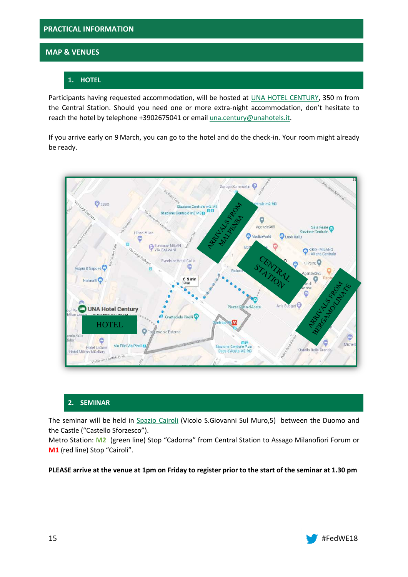# **MAP & VENUES**

# **1. HOTEL**

Participants having requested accommodation, will be hosted at [UNA HOTEL CENTURY,](http://www.unahotels.it/it/una_hotel_century/business_hotel_milano.htm) 350 m from the Central Station. Should you need one or more extra-night accommodation, don't hesitate to reach the hotel by telephone +3902675041 or email [una.century@unahotels.it.](mailto:una.century@unahotels.it)

If you arrive early on 9 March, you can go to the hotel and do the check-in. Your room might already be ready.



# **2. SEMINAR**

The seminar will be held in [Spazio Cairoli](http://spaziocairoli.com/) (Vicolo S.Giovanni Sul Muro,5) between the Duomo and the Castle ("Castello Sforzesco").

Metro Station: **M2** (green line) Stop "Cadorna" from Central Station to Assago Milanofiori Forum or **M1** (red line) Stop "Cairoli".

# **PLEASE arrive at the venue at 1pm on Friday to register prior to the start of the seminar at 1.30 pm**

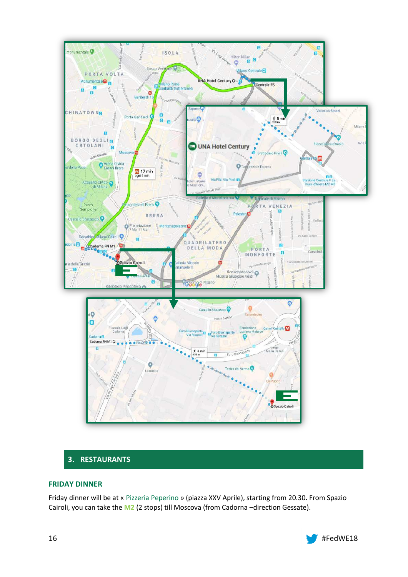

# **3. RESTAURANTS**

# **FRIDAY DINNER**

Friday dinner will be at « [Pizzeria Peperino](http://www.peperinopizza.it/it/milano) » (piazza XXV Aprile), starting from 20.30. From Spazio Cairoli, you can take the **M2** (2 stops) till Moscova (from Cadorna –direction Gessate).

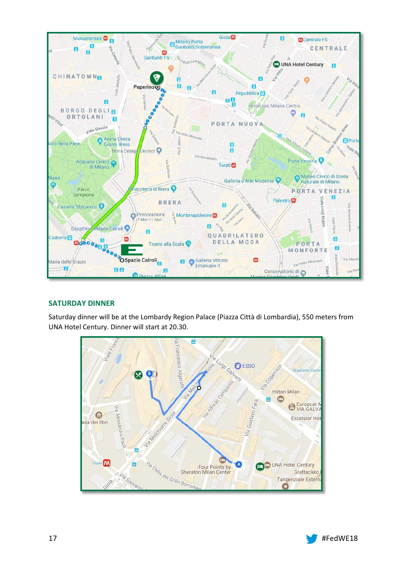

# **SATURDAY DINNER**

Saturday dinner will be at the Lombardy Region Palace (Piazza Città di Lombardia), 550 meters from UNA Hotel Century. Dinner will start at 20.30.



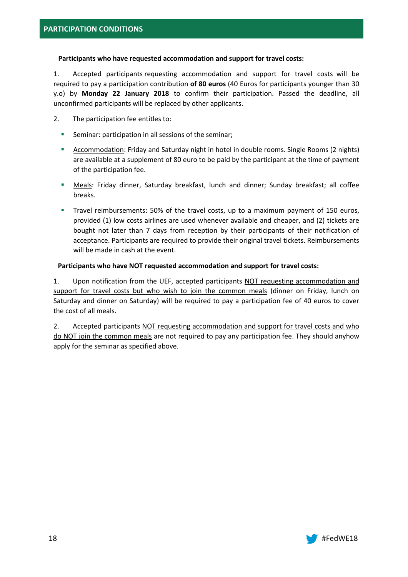# **Participants who have requested accommodation and support for travel costs:**

1. Accepted participants requesting accommodation and support for travel costs will be required to pay a participation contribution **of 80 euros** (40 Euros for participants younger than 30 y.o) by **Monday 22 January 2018** to confirm their participation. Passed the deadline, all unconfirmed participants will be replaced by other applicants.

- 2. The participation fee entitles to:
	- **Seminar:** participation in all sessions of the seminar;
	- Accommodation: Friday and Saturday night in hotel in double rooms. Single Rooms (2 nights) are available at a supplement of 80 euro to be paid by the participant at the time of payment of the participation fee.
	- **Meals:** Friday dinner, Saturday breakfast, lunch and dinner; Sunday breakfast; all coffee breaks.
	- Travel reimbursements: 50% of the travel costs, up to a maximum payment of 150 euros, provided (1) low costs airlines are used whenever available and cheaper, and (2) tickets are bought not later than 7 days from reception by their participants of their notification of acceptance. Participants are required to provide their original travel tickets. Reimbursements will be made in cash at the event.

# **Participants who have NOT requested accommodation and support for travel costs:**

1. Upon notification from the UEF, accepted participants NOT requesting accommodation and support for travel costs but who wish to join the common meals (dinner on Friday, lunch on Saturday and dinner on Saturday) will be required to pay a participation fee of 40 euros to cover the cost of all meals.

2. Accepted participants NOT requesting accommodation and support for travel costs and who do NOT join the common meals are not required to pay any participation fee. They should anyhow apply for the seminar as specified above.

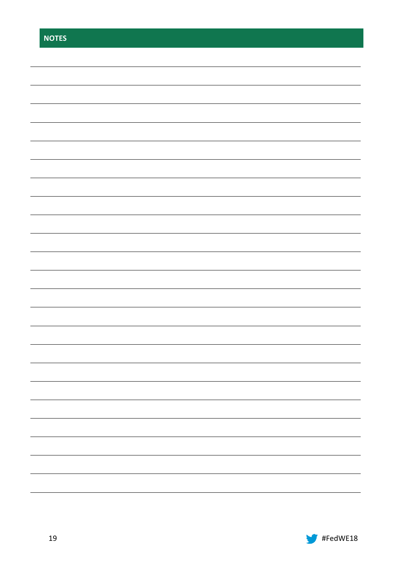| <b>NOTES</b> |  |  |  |
|--------------|--|--|--|
|              |  |  |  |
|              |  |  |  |
|              |  |  |  |
|              |  |  |  |
|              |  |  |  |
|              |  |  |  |
|              |  |  |  |
|              |  |  |  |
|              |  |  |  |
|              |  |  |  |
|              |  |  |  |
|              |  |  |  |
|              |  |  |  |
|              |  |  |  |
|              |  |  |  |
|              |  |  |  |
|              |  |  |  |
|              |  |  |  |
|              |  |  |  |
|              |  |  |  |
|              |  |  |  |
|              |  |  |  |
|              |  |  |  |
|              |  |  |  |

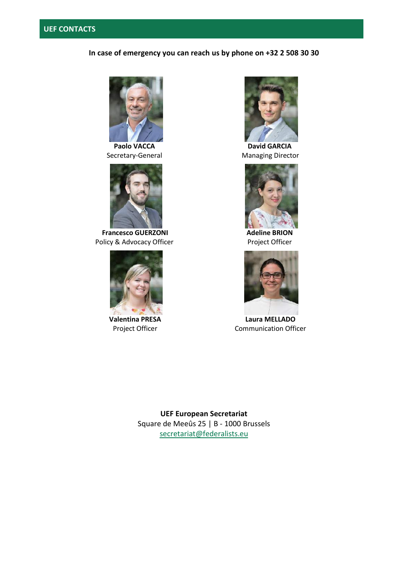# **In case of emergency you can reach us by phone on +32 2 508 30 30**



**Paolo VACCA** Secretary-General



**Francesco GUERZONI** Policy & Advocacy Officer



**Valentina PRESA** Project Officer



**David GARCIA** Managing Director



**Adeline BRION** Project Officer



**Laura MELLADO** Communication Officer

**UEF European Secretariat**  Square de Meeûs 25 | B - 1000 Brussels [secretariat@federalists.eu](mailto:secretariat@federalists.eu)